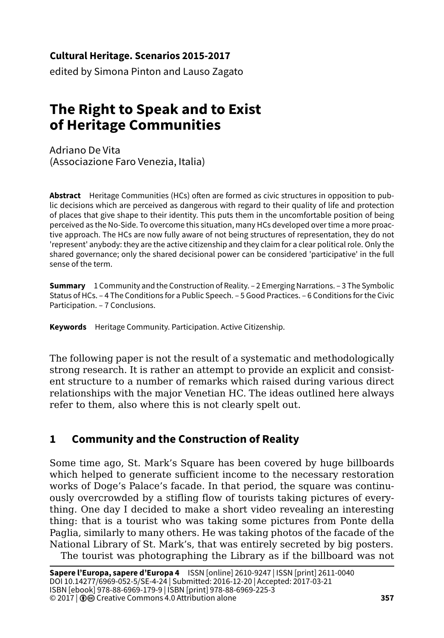#### **Cultural Heritage. Scenarios 2015-2017**

edited by Simona Pinton and Lauso Zagato

# **The Right to Speak and to Exist of Heritage Communities**

Adriano De Vita (Associazione Faro Venezia, Italia)

**Abstract** Heritage Communities (HCs) often are formed as civic structures in opposition to public decisions which are perceived as dangerous with regard to their quality of life and protection of places that give shape to their identity. This puts them in the uncomfortable position of being perceived as the No-Side. To overcome this situation, many HCs developed over time a more proactive approach. The HCs are now fully aware of not being structures of representation, they do not 'represent' anybody: they are the active citizenship and they claim for a clear political role. Only the shared governance; only the shared decisional power can be considered 'participative' in the full sense of the term.

**Summary** 1 Community and the Construction of Reality. – 2 Emerging Narrations. – 3 The Symbolic Status of HCs. – 4 The Conditions for a Public Speech. – 5 Good Practices. – 6 Conditions for the Civic Participation. – 7 Conclusions.

**Keywords** Heritage Community. Participation. Active Citizenship.

The following paper is not the result of a systematic and methodologically strong research. It is rather an attempt to provide an explicit and consistent structure to a number of remarks which raised during various direct relationships with the major Venetian HC. The ideas outlined here always refer to them, also where this is not clearly spelt out.

# **1 Community and the Construction of Reality**

Some time ago, St. Mark's Square has been covered by huge billboards which helped to generate sufficient income to the necessary restoration works of Doge's Palace's facade. In that period, the square was continuously overcrowded by a stifling flow of tourists taking pictures of everything. One day I decided to make a short video revealing an interesting thing: that is a tourist who was taking some pictures from Ponte della Paglia, similarly to many others. He was taking photos of the facade of the National Library of St. Mark's, that was entirely secreted by big posters.

The tourist was photographing the Library as if the billboard was not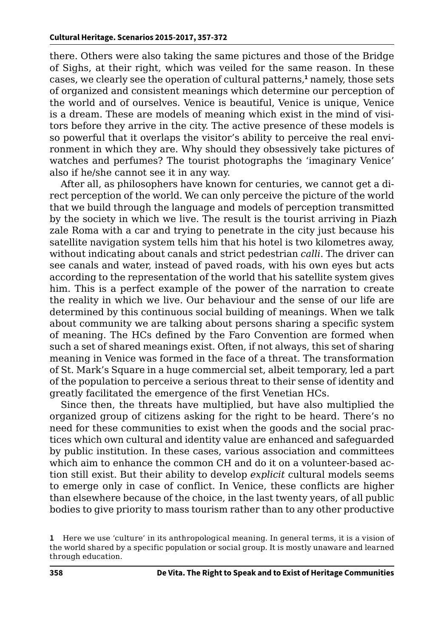there. Others were also taking the same pictures and those of the Bridge of Sighs, at their right, which was veiled for the same reason. In these cases, we clearly see the operation of cultural patterns,**<sup>1</sup>** namely, those sets of organized and consistent meanings which determine our perception of the world and of ourselves. Venice is beautiful, Venice is unique, Venice is a dream. These are models of meaning which exist in the mind of visitors before they arrive in the city. The active presence of these models is so powerful that it overlaps the visitor's ability to perceive the real environment in which they are. Why should they obsessively take pictures of watches and perfumes? The tourist photographs the 'imaginary Venice' also if he/she cannot see it in any way.

After all, as philosophers have known for centuries, we cannot get a direct perception of the world. We can only perceive the picture of the world that we build through the language and models of perception transmitted by the society in which we live. The result is the tourist arriving in Piazh zale Roma with a car and trying to penetrate in the city just because his satellite navigation system tells him that his hotel is two kilometres away, without indicating about canals and strict pedestrian *calli*. The driver can see canals and water, instead of paved roads, with his own eyes but acts according to the representation of the world that his satellite system gives him. This is a perfect example of the power of the narration to create the reality in which we live. Our behaviour and the sense of our life are determined by this continuous social building of meanings. When we talk about community we are talking about persons sharing a specific system of meaning. The HCs defined by the Faro Convention are formed when such a set of shared meanings exist. Often, if not always, this set of sharing meaning in Venice was formed in the face of a threat. The transformation of St. Mark's Square in a huge commercial set, albeit temporary, led a part of the population to perceive a serious threat to their sense of identity and greatly facilitated the emergence of the first Venetian HCs.

Since then, the threats have multiplied, but have also multiplied the organized group of citizens asking for the right to be heard. There's no need for these communities to exist when the goods and the social practices which own cultural and identity value are enhanced and safeguarded by public institution. In these cases, various association and committees which aim to enhance the common CH and do it on a volunteer-based action still exist. But their ability to develop *explicit* cultural models seems to emerge only in case of conflict. In Venice, these conflicts are higher than elsewhere because of the choice, in the last twenty years, of all public bodies to give priority to mass tourism rather than to any other productive

**<sup>1</sup>** Here we use 'culture' in its anthropological meaning. In general terms, it is a vision of the world shared by a specific population or social group. It is mostly unaware and learned through education.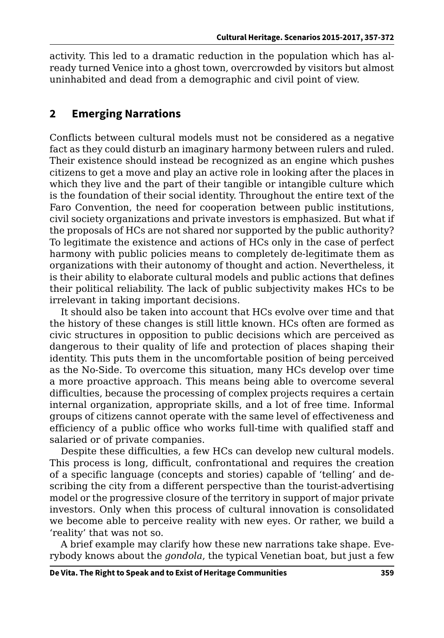activity. This led to a dramatic reduction in the population which has already turned Venice into a ghost town, overcrowded by visitors but almost uninhabited and dead from a demographic and civil point of view.

### **2 Emerging Narrations**

Conflicts between cultural models must not be considered as a negative fact as they could disturb an imaginary harmony between rulers and ruled. Their existence should instead be recognized as an engine which pushes citizens to get a move and play an active role in looking after the places in which they live and the part of their tangible or intangible culture which is the foundation of their social identity. Throughout the entire text of the Faro Convention, the need for cooperation between public institutions, civil society organizations and private investors is emphasized. But what if the proposals of HCs are not shared nor supported by the public authority? To legitimate the existence and actions of HCs only in the case of perfect harmony with public policies means to completely de-legitimate them as organizations with their autonomy of thought and action. Nevertheless, it is their ability to elaborate cultural models and public actions that defines their political reliability. The lack of public subjectivity makes HCs to be irrelevant in taking important decisions.

It should also be taken into account that HCs evolve over time and that the history of these changes is still little known. HCs often are formed as civic structures in opposition to public decisions which are perceived as dangerous to their quality of life and protection of places shaping their identity. This puts them in the uncomfortable position of being perceived as the No-Side. To overcome this situation, many HCs develop over time a more proactive approach. This means being able to overcome several difficulties, because the processing of complex projects requires a certain internal organization, appropriate skills, and a lot of free time. Informal groups of citizens cannot operate with the same level of effectiveness and efficiency of a public office who works full-time with qualified staff and salaried or of private companies.

Despite these difficulties, a few HCs can develop new cultural models. This process is long, difficult, confrontational and requires the creation of a specific language (concepts and stories) capable of 'telling' and describing the city from a different perspective than the tourist-advertising model or the progressive closure of the territory in support of major private investors. Only when this process of cultural innovation is consolidated we become able to perceive reality with new eyes. Or rather, we build a 'reality' that was not so.

A brief example may clarify how these new narrations take shape. Everybody knows about the *gondola*, the typical Venetian boat, but just a few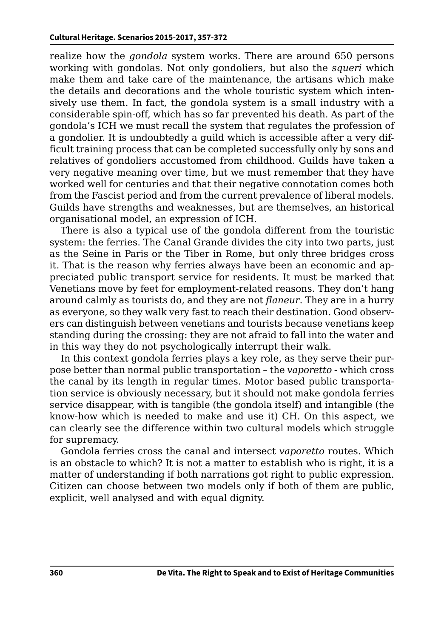realize how the *gondola* system works. There are around 650 persons working with gondolas. Not only gondoliers, but also the *squeri* which make them and take care of the maintenance, the artisans which make the details and decorations and the whole touristic system which intensively use them. In fact, the gondola system is a small industry with a considerable spin-off, which has so far prevented his death. As part of the gondola's ICH we must recall the system that regulates the profession of a gondolier. It is undoubtedly a guild which is accessible after a very difficult training process that can be completed successfully only by sons and relatives of gondoliers accustomed from childhood. Guilds have taken a very negative meaning over time, but we must remember that they have worked well for centuries and that their negative connotation comes both from the Fascist period and from the current prevalence of liberal models. Guilds have strengths and weaknesses, but are themselves, an historical organisational model, an expression of ICH.

There is also a typical use of the gondola different from the touristic system: the ferries. The Canal Grande divides the city into two parts, just as the Seine in Paris or the Tiber in Rome, but only three bridges cross it. That is the reason why ferries always have been an economic and appreciated public transport service for residents. It must be marked that Venetians move by feet for employment-related reasons. They don't hang around calmly as tourists do, and they are not *flaneur*. They are in a hurry as everyone, so they walk very fast to reach their destination. Good observers can distinguish between venetians and tourists because venetians keep standing during the crossing: they are not afraid to fall into the water and in this way they do not psychologically interrupt their walk.

In this context gondola ferries plays a key role, as they serve their purpose better than normal public transportation – the *vaporetto* - which cross the canal by its length in regular times. Motor based public transportation service is obviously necessary, but it should not make gondola ferries service disappear, with is tangible (the gondola itself) and intangible (the know-how which is needed to make and use it) CH. On this aspect, we can clearly see the difference within two cultural models which struggle for supremacy.

Gondola ferries cross the canal and intersect *vaporetto* routes. Which is an obstacle to which? It is not a matter to establish who is right, it is a matter of understanding if both narrations got right to public expression. Citizen can choose between two models only if both of them are public, explicit, well analysed and with equal dignity.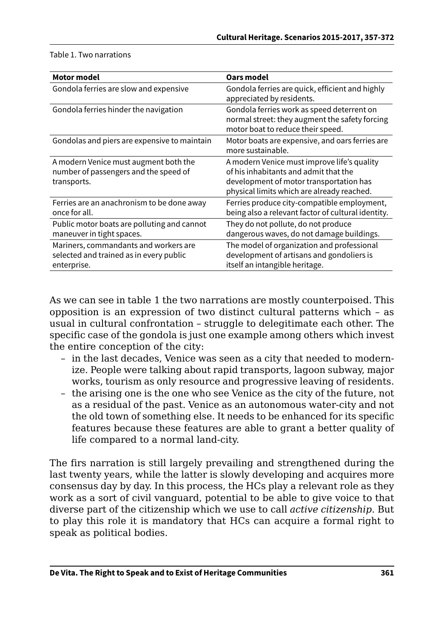|  |  |  |  | Table 1. Two narrations |
|--|--|--|--|-------------------------|
|--|--|--|--|-------------------------|

| <b>Motor model</b>                                                                              | Oars model                                                                                                                                                                    |
|-------------------------------------------------------------------------------------------------|-------------------------------------------------------------------------------------------------------------------------------------------------------------------------------|
| Gondola ferries are slow and expensive                                                          | Gondola ferries are quick, efficient and highly<br>appreciated by residents.                                                                                                  |
| Gondola ferries hinder the navigation                                                           | Gondola ferries work as speed deterrent on<br>normal street: they augment the safety forcing<br>motor boat to reduce their speed.                                             |
| Gondolas and piers are expensive to maintain                                                    | Motor boats are expensive, and oars ferries are<br>more sustainable.                                                                                                          |
| A modern Venice must augment both the<br>number of passengers and the speed of<br>transports.   | A modern Venice must improve life's quality<br>of his inhabitants and admit that the<br>development of motor transportation has<br>physical limits which are already reached. |
| Ferries are an anachronism to be done away<br>once for all.                                     | Ferries produce city-compatible employment,<br>being also a relevant factor of cultural identity.                                                                             |
| Public motor boats are polluting and cannot<br>maneuver in tight spaces.                        | They do not pollute, do not produce<br>dangerous waves, do not damage buildings.                                                                                              |
| Mariners, commandants and workers are<br>selected and trained as in every public<br>enterprise. | The model of organization and professional<br>development of artisans and gondoliers is<br>itself an intangible heritage.                                                     |

As we can see in table 1 the two narrations are mostly counterpoised. This opposition is an expression of two distinct cultural patterns which – as usual in cultural confrontation – struggle to delegitimate each other. The specific case of the gondola is just one example among others which invest the entire conception of the city:

- in the last decades, Venice was seen as a city that needed to modernize. People were talking about rapid transports, lagoon subway, major works, tourism as only resource and progressive leaving of residents.
- the arising one is the one who see Venice as the city of the future, not as a residual of the past. Venice as an autonomous water-city and not the old town of something else. It needs to be enhanced for its specific features because these features are able to grant a better quality of life compared to a normal land-city.

The firs narration is still largely prevailing and strengthened during the last twenty years, while the latter is slowly developing and acquires more consensus day by day. In this process, the HCs play a relevant role as they work as a sort of civil vanguard, potential to be able to give voice to that diverse part of the citizenship which we use to call *active citizenship*. But to play this role it is mandatory that HCs can acquire a formal right to speak as political bodies.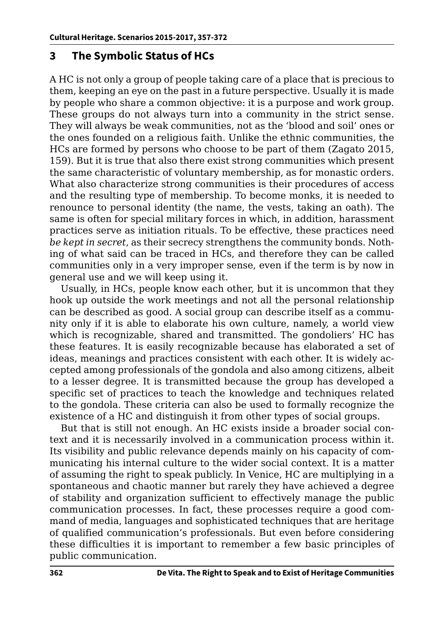#### **3 The Symbolic Status of HCs**

A HC is not only a group of people taking care of a place that is precious to them, keeping an eye on the past in a future perspective. Usually it is made by people who share a common objective: it is a purpose and work group. These groups do not always turn into a community in the strict sense. They will always be weak communities, not as the 'blood and soil' ones or the ones founded on a religious faith. Unlike the ethnic communities, the HCs are formed by persons who choose to be part of them (Zagato 2015, 159). But it is true that also there exist strong communities which present the same characteristic of voluntary membership, as for monastic orders. What also characterize strong communities is their procedures of access and the resulting type of membership. To become monks, it is needed to renounce to personal identity (the name, the vests, taking an oath). The same is often for special military forces in which, in addition, harassment practices serve as initiation rituals. To be effective, these practices need *be kept in secret*, as their secrecy strengthens the community bonds. Nothing of what said can be traced in HCs, and therefore they can be called communities only in a very improper sense, even if the term is by now in general use and we will keep using it.

Usually, in HCs, people know each other, but it is uncommon that they hook up outside the work meetings and not all the personal relationship can be described as good. A social group can describe itself as a community only if it is able to elaborate his own culture, namely, a world view which is recognizable, shared and transmitted. The gondoliers' HC has these features. It is easily recognizable because has elaborated a set of ideas, meanings and practices consistent with each other. It is widely accepted among professionals of the gondola and also among citizens, albeit to a lesser degree. It is transmitted because the group has developed a specific set of practices to teach the knowledge and techniques related to the gondola. These criteria can also be used to formally recognize the existence of a HC and distinguish it from other types of social groups.

But that is still not enough. An HC exists inside a broader social context and it is necessarily involved in a communication process within it. Its visibility and public relevance depends mainly on his capacity of communicating his internal culture to the wider social context. It is a matter of assuming the right to speak publicly. In Venice, HC are multiplying in a spontaneous and chaotic manner but rarely they have achieved a degree of stability and organization sufficient to effectively manage the public communication processes. In fact, these processes require a good command of media, languages and sophisticated techniques that are heritage of qualified communication's professionals. But even before considering these difficulties it is important to remember a few basic principles of public communication.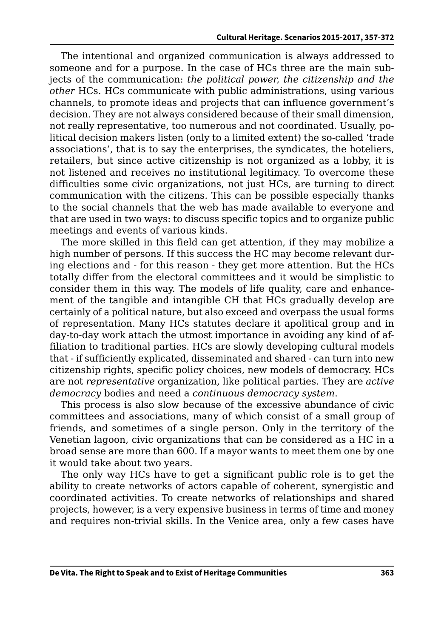The intentional and organized communication is always addressed to someone and for a purpose. In the case of HCs three are the main subjects of the communication: *the political power, the citizenship and the other* HCs. HCs communicate with public administrations, using various channels, to promote ideas and projects that can influence government's decision. They are not always considered because of their small dimension, not really representative, too numerous and not coordinated. Usually, political decision makers listen (only to a limited extent) the so-called 'trade associations', that is to say the enterprises, the syndicates, the hoteliers, retailers, but since active citizenship is not organized as a lobby, it is not listened and receives no institutional legitimacy. To overcome these difficulties some civic organizations, not just HCs, are turning to direct communication with the citizens. This can be possible especially thanks to the social channels that the web has made available to everyone and that are used in two ways: to discuss specific topics and to organize public meetings and events of various kinds.

The more skilled in this field can get attention, if they may mobilize a high number of persons. If this success the HC may become relevant during elections and - for this reason - they get more attention. But the HCs totally differ from the electoral committees and it would be simplistic to consider them in this way. The models of life quality, care and enhancement of the tangible and intangible CH that HCs gradually develop are certainly of a political nature, but also exceed and overpass the usual forms of representation. Many HCs statutes declare it apolitical group and in day-to-day work attach the utmost importance in avoiding any kind of affiliation to traditional parties. HCs are slowly developing cultural models that - if sufficiently explicated, disseminated and shared - can turn into new citizenship rights, specific policy choices, new models of democracy. HCs are not *representative* organization, like political parties. They are *active democracy* bodies and need a *continuous democracy system*.

This process is also slow because of the excessive abundance of civic committees and associations, many of which consist of a small group of friends, and sometimes of a single person. Only in the territory of the Venetian lagoon, civic organizations that can be considered as a HC in a broad sense are more than 600. If a mayor wants to meet them one by one it would take about two years.

The only way HCs have to get a significant public role is to get the ability to create networks of actors capable of coherent, synergistic and coordinated activities. To create networks of relationships and shared projects, however, is a very expensive business in terms of time and money and requires non-trivial skills. In the Venice area, only a few cases have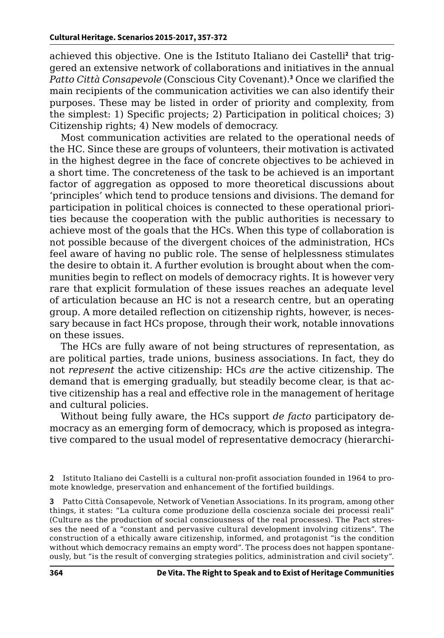achieved this objective. One is the Istituto Italiano dei Castelli<sup>2</sup> that triggered an extensive network of collaborations and initiatives in the annual *Patto Città Consapevole* (Conscious City Covenant).**<sup>3</sup>** Once we clarified the main recipients of the communication activities we can also identify their purposes. These may be listed in order of priority and complexity, from the simplest: 1) Specific projects; 2) Participation in political choices; 3) Citizenship rights; 4) New models of democracy.

Most communication activities are related to the operational needs of the HC. Since these are groups of volunteers, their motivation is activated in the highest degree in the face of concrete objectives to be achieved in a short time. The concreteness of the task to be achieved is an important factor of aggregation as opposed to more theoretical discussions about 'principles' which tend to produce tensions and divisions. The demand for participation in political choices is connected to these operational priorities because the cooperation with the public authorities is necessary to achieve most of the goals that the HCs. When this type of collaboration is not possible because of the divergent choices of the administration, HCs feel aware of having no public role. The sense of helplessness stimulates the desire to obtain it. A further evolution is brought about when the communities begin to reflect on models of democracy rights. It is however very rare that explicit formulation of these issues reaches an adequate level of articulation because an HC is not a research centre, but an operating group. A more detailed reflection on citizenship rights, however, is necessary because in fact HCs propose, through their work, notable innovations on these issues.

The HCs are fully aware of not being structures of representation, as are political parties, trade unions, business associations. In fact, they do not *represent* the active citizenship: HCs *are* the active citizenship. The demand that is emerging gradually, but steadily become clear, is that active citizenship has a real and effective role in the management of heritage and cultural policies.

Without being fully aware, the HCs support *de facto* participatory democracy as an emerging form of democracy, which is proposed as integrative compared to the usual model of representative democracy (hierarchi-

**3** Patto Città Consapevole, Network of Venetian Associations. In its program, among other things, it states: "La cultura come produzione della coscienza sociale dei processi reali" (Culture as the production of social consciousness of the real processes). The Pact stresses the need of a "constant and pervasive cultural development involving citizens". The construction of a ethically aware citizenship, informed, and protagonist "is the condition without which democracy remains an empty word". The process does not happen spontaneously, but "is the result of converging strategies politics, administration and civil society".

**<sup>2</sup>** Istituto Italiano dei Castelli is a cultural non-profit association founded in 1964 to promote knowledge, preservation and enhancement of the fortified buildings.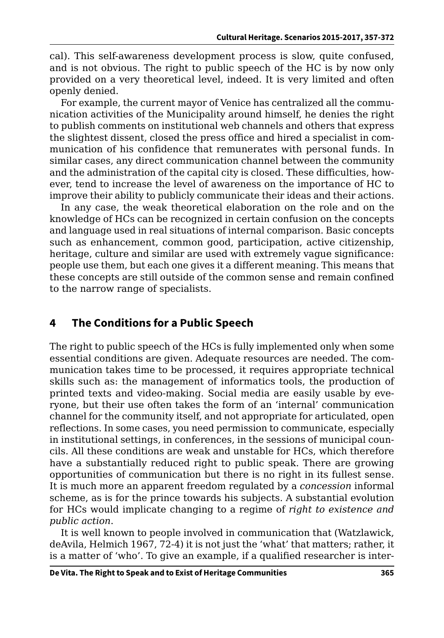cal). This self-awareness development process is slow, quite confused, and is not obvious. The right to public speech of the HC is by now only provided on a very theoretical level, indeed. It is very limited and often openly denied.

For example, the current mayor of Venice has centralized all the communication activities of the Municipality around himself, he denies the right to publish comments on institutional web channels and others that express the slightest dissent, closed the press office and hired a specialist in communication of his confidence that remunerates with personal funds. In similar cases, any direct communication channel between the community and the administration of the capital city is closed. These difficulties, however, tend to increase the level of awareness on the importance of HC to improve their ability to publicly communicate their ideas and their actions.

In any case, the weak theoretical elaboration on the role and on the knowledge of HCs can be recognized in certain confusion on the concepts and language used in real situations of internal comparison. Basic concepts such as enhancement, common good, participation, active citizenship, heritage, culture and similar are used with extremely vague significance: people use them, but each one gives it a different meaning. This means that these concepts are still outside of the common sense and remain confined to the narrow range of specialists.

### **4 The Conditions for a Public Speech**

The right to public speech of the HCs is fully implemented only when some essential conditions are given. Adequate resources are needed. The communication takes time to be processed, it requires appropriate technical skills such as: the management of informatics tools, the production of printed texts and video-making. Social media are easily usable by everyone, but their use often takes the form of an 'internal' communication channel for the community itself, and not appropriate for articulated, open reflections. In some cases, you need permission to communicate, especially in institutional settings, in conferences, in the sessions of municipal councils. All these conditions are weak and unstable for HCs, which therefore have a substantially reduced right to public speak. There are growing opportunities of communication but there is no right in its fullest sense. It is much more an apparent freedom regulated by a *concession* informal scheme, as is for the prince towards his subjects. A substantial evolution for HCs would implicate changing to a regime of *right to existence and public action*.

It is well known to people involved in communication that (Watzlawick, deAvila, Helmich 1967, 72-4) it is not just the 'what' that matters; rather, it is a matter of 'who'. To give an example, if a qualified researcher is inter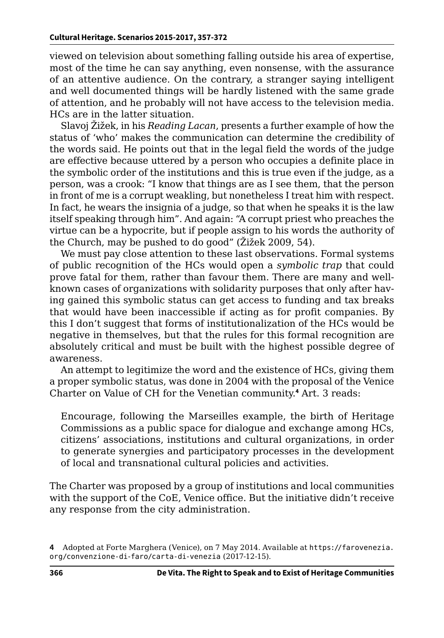viewed on television about something falling outside his area of expertise, most of the time he can say anything, even nonsense, with the assurance of an attentive audience. On the contrary, a stranger saying intelligent and well documented things will be hardly listened with the same grade of attention, and he probably will not have access to the television media. HCs are in the latter situation.

Slavoj Žižek, in his *Reading Lacan*, presents a further example of how the status of 'who' makes the communication can determine the credibility of the words said. He points out that in the legal field the words of the judge are effective because uttered by a person who occupies a definite place in the symbolic order of the institutions and this is true even if the judge, as a person, was a crook: "I know that things are as I see them, that the person in front of me is a corrupt weakling, but nonetheless I treat him with respect. In fact, he wears the insignia of a judge, so that when he speaks it is the law itself speaking through him". And again: "A corrupt priest who preaches the virtue can be a hypocrite, but if people assign to his words the authority of the Church, may be pushed to do good" (Žižek 2009, 54).

We must pay close attention to these last observations. Formal systems of public recognition of the HCs would open a *symbolic trap* that could prove fatal for them, rather than favour them. There are many and wellknown cases of organizations with solidarity purposes that only after having gained this symbolic status can get access to funding and tax breaks that would have been inaccessible if acting as for profit companies. By this I don't suggest that forms of institutionalization of the HCs would be negative in themselves, but that the rules for this formal recognition are absolutely critical and must be built with the highest possible degree of awareness.

An attempt to legitimize the word and the existence of HCs, giving them a proper symbolic status, was done in 2004 with the proposal of the Venice Charter on Value of CH for the Venetian community.**<sup>4</sup>** Art. 3 reads:

Encourage, following the Marseilles example, the birth of Heritage Commissions as a public space for dialogue and exchange among HCs, citizens' associations, institutions and cultural organizations, in order to generate synergies and participatory processes in the development of local and transnational cultural policies and activities.

The Charter was proposed by a group of institutions and local communities with the support of the CoE, Venice office. But the initiative didn't receive any response from the city administration.

**<sup>4</sup>** Adopted at Forte Marghera (Venice), on 7 May 2014. Available at [https://farovenezia.](https://farovenezia.org/convenzione-di-faro/carta-di-venezia) [org/convenzione-di-faro/carta-di-venezia](https://farovenezia.org/convenzione-di-faro/carta-di-venezia) (2017-12-15).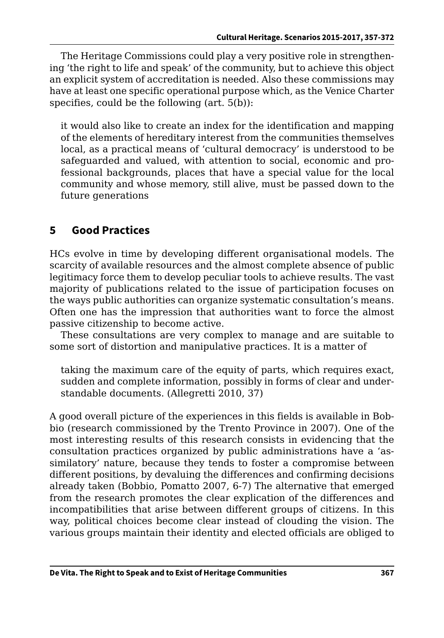The Heritage Commissions could play a very positive role in strengthening 'the right to life and speak' of the community, but to achieve this object an explicit system of accreditation is needed. Also these commissions may have at least one specific operational purpose which, as the Venice Charter specifies, could be the following (art. 5(b)):

it would also like to create an index for the identification and mapping of the elements of hereditary interest from the communities themselves local, as a practical means of 'cultural democracy' is understood to be safeguarded and valued, with attention to social, economic and professional backgrounds, places that have a special value for the local community and whose memory, still alive, must be passed down to the future generations

#### **5 Good Practices**

HCs evolve in time by developing different organisational models. The scarcity of available resources and the almost complete absence of public legitimacy force them to develop peculiar tools to achieve results. The vast majority of publications related to the issue of participation focuses on the ways public authorities can organize systematic consultation's means. Often one has the impression that authorities want to force the almost passive citizenship to become active.

These consultations are very complex to manage and are suitable to some sort of distortion and manipulative practices. It is a matter of

taking the maximum care of the equity of parts, which requires exact, sudden and complete information, possibly in forms of clear and understandable documents. (Allegretti 2010, 37)

A good overall picture of the experiences in this fields is available in Bobbio (research commissioned by the Trento Province in 2007). One of the most interesting results of this research consists in evidencing that the consultation practices organized by public administrations have a 'assimilatory' nature, because they tends to foster a compromise between different positions, by devaluing the differences and confirming decisions already taken (Bobbio, Pomatto 2007, 6-7) The alternative that emerged from the research promotes the clear explication of the differences and incompatibilities that arise between different groups of citizens. In this way, political choices become clear instead of clouding the vision. The various groups maintain their identity and elected officials are obliged to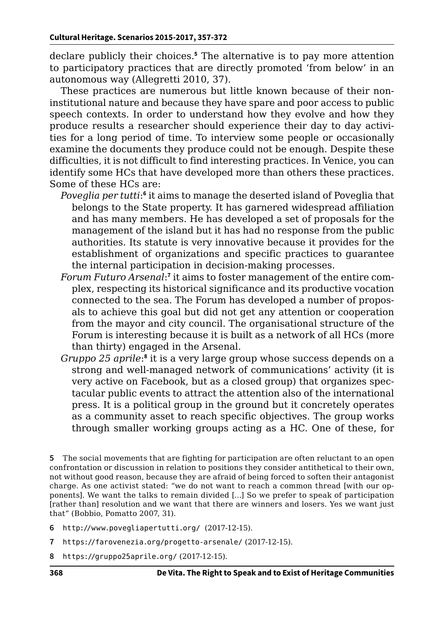declare publicly their choices.**<sup>5</sup>** The alternative is to pay more attention to participatory practices that are directly promoted 'from below' in an autonomous way (Allegretti 2010, 37).

These practices are numerous but little known because of their noninstitutional nature and because they have spare and poor access to public speech contexts. In order to understand how they evolve and how they produce results a researcher should experience their day to day activities for a long period of time. To interview some people or occasionally examine the documents they produce could not be enough. Despite these difficulties, it is not difficult to find interesting practices. In Venice, you can identify some HCs that have developed more than others these practices. Some of these HCs are:

- Poveglia per tutti:<sup>6</sup> it aims to manage the deserted island of Poveglia that belongs to the State property. It has garnered widespread affiliation and has many members. He has developed a set of proposals for the management of the island but it has had no response from the public authorities. Its statute is very innovative because it provides for the establishment of organizations and specific practices to guarantee the internal participation in decision-making processes.
- Forum Futuro Arsenal:<sup>7</sup> it aims to foster management of the entire complex, respecting its historical significance and its productive vocation connected to the sea. The Forum has developed a number of proposals to achieve this goal but did not get any attention or cooperation from the mayor and city council. The organisational structure of the Forum is interesting because it is built as a network of all HCs (more than thirty) engaged in the Arsenal.
- *Gruppo 25 aprile*:<sup>8</sup> it is a very large group whose success depends on a strong and well-managed network of communications' activity (it is very active on Facebook, but as a closed group) that organizes spectacular public events to attract the attention also of the international press. It is a political group in the ground but it concretely operates as a community asset to reach specific objectives. The group works through smaller working groups acting as a HC. One of these, for

**5** The social movements that are fighting for participation are often reluctant to an open confrontation or discussion in relation to positions they consider antithetical to their own, not without good reason, because they are afraid of being forced to soften their antagonist charge. As one activist stated: "we do not want to reach a common thread [with our opponents]. We want the talks to remain divided […] So we prefer to speak of participation [rather than] resolution and we want that there are winners and losers. Yes we want just that" (Bobbio, Pomatto 2007, 31).

- **6** <http://www.povegliapertutti.org/> (2017-12-15).
- **7** <https://farovenezia.org/progetto-arsenale/> (2017-12-15).
- **8** <https://gruppo25aprile.org/> (2017-12-15).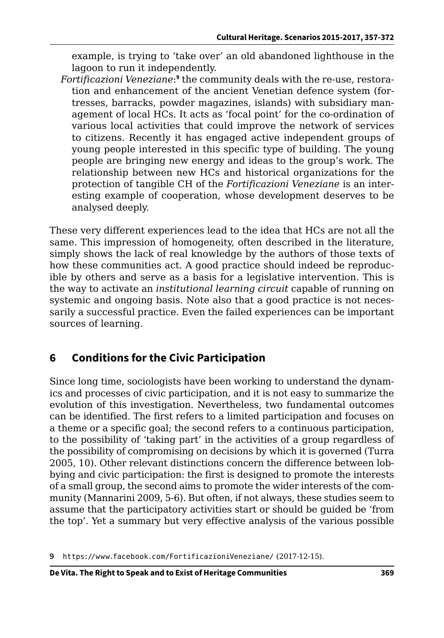example, is trying to 'take over' an old abandoned lighthouse in the lagoon to run it independently.

*Fortificazioni Veneziane*: **<sup>9</sup>** the community deals with the re-use, restoration and enhancement of the ancient Venetian defence system (fortresses, barracks, powder magazines, islands) with subsidiary management of local HCs. It acts as 'focal point' for the co-ordination of various local activities that could improve the network of services to citizens. Recently it has engaged active independent groups of young people interested in this specific type of building. The young people are bringing new energy and ideas to the group's work. The relationship between new HCs and historical organizations for the protection of tangible CH of the *Fortificazioni Veneziane* is an interesting example of cooperation, whose development deserves to be analysed deeply.

These very different experiences lead to the idea that HCs are not all the same. This impression of homogeneity, often described in the literature, simply shows the lack of real knowledge by the authors of those texts of how these communities act. A good practice should indeed be reproducible by others and serve as a basis for a legislative intervention. This is the way to activate an *institutional learning circuit* capable of running on systemic and ongoing basis. Note also that a good practice is not necessarily a successful practice. Even the failed experiences can be important sources of learning.

# **6 Conditions for the Civic Participation**

Since long time, sociologists have been working to understand the dynamics and processes of civic participation, and it is not easy to summarize the evolution of this investigation. Nevertheless, two fundamental outcomes can be identified. The first refers to a limited participation and focuses on a theme or a specific goal; the second refers to a continuous participation, to the possibility of 'taking part' in the activities of a group regardless of the possibility of compromising on decisions by which it is governed (Turra 2005, 10). Other relevant distinctions concern the difference between lobbying and civic participation: the first is designed to promote the interests of a small group, the second aims to promote the wider interests of the community (Mannarini 2009, 5-6). But often, if not always, these studies seem to assume that the participatory activities start or should be guided be 'from the top'. Yet a summary but very effective analysis of the various possible

**9** <https://www.facebook.com/FortificazioniVeneziane/> (2017-12-15).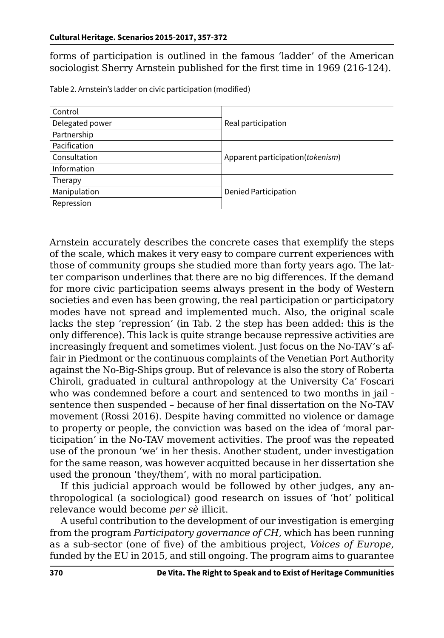forms of participation is outlined in the famous 'ladder' of the American sociologist Sherry Arnstein published for the first time in 1969 (216-124).

| Control         |                                  |
|-----------------|----------------------------------|
| Delegated power | Real participation               |
| Partnership     |                                  |
| Pacification    |                                  |
| Consultation    | Apparent participation(tokenism) |
| Information     |                                  |
| Therapy         |                                  |
| Manipulation    | <b>Denied Participation</b>      |
| Repression      |                                  |
|                 |                                  |

Table 2. Arnstein's ladder on civic participation (modified)

Arnstein accurately describes the concrete cases that exemplify the steps of the scale, which makes it very easy to compare current experiences with those of community groups she studied more than forty years ago. The latter comparison underlines that there are no big differences. If the demand for more civic participation seems always present in the body of Western societies and even has been growing, the real participation or participatory modes have not spread and implemented much. Also, the original scale lacks the step 'repression' (in Tab. 2 the step has been added: this is the only difference). This lack is quite strange because repressive activities are increasingly frequent and sometimes violent. Just focus on the No-TAV's affair in Piedmont or the continuous complaints of the Venetian Port Authority against the No-Big-Ships group. But of relevance is also the story of Roberta Chiroli, graduated in cultural anthropology at the University Ca' Foscari who was condemned before a court and sentenced to two months in jail sentence then suspended – because of her final dissertation on the No-TAV movement (Rossi 2016). Despite having committed no violence or damage to property or people, the conviction was based on the idea of 'moral participation' in the No-TAV movement activities. The proof was the repeated use of the pronoun 'we' in her thesis. Another student, under investigation for the same reason, was however acquitted because in her dissertation she used the pronoun 'they/them', with no moral participation.

If this judicial approach would be followed by other judges, any anthropological (a sociological) good research on issues of 'hot' political relevance would become *per sè* illicit.

A useful contribution to the development of our investigation is emerging from the program *Participatory governance of CH*, which has been running as a sub-sector (one of five) of the ambitious project, *Voices of Europe*, funded by the EU in 2015, and still ongoing. The program aims to guarantee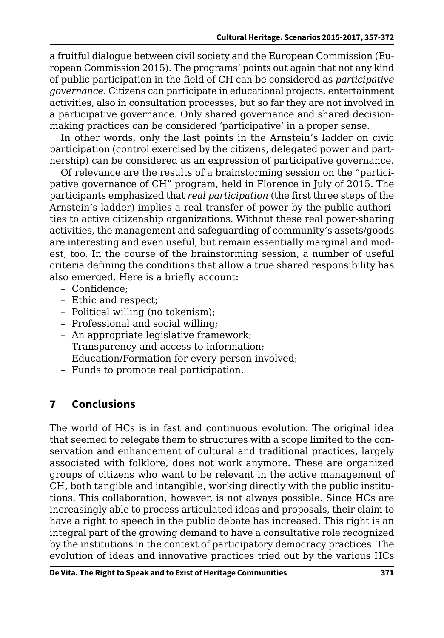a fruitful dialogue between civil society and the European Commission (European Commission 2015). The programs' points out again that not any kind of public participation in the field of CH can be considered as *participative governance*. Citizens can participate in educational projects, entertainment activities, also in consultation processes, but so far they are not involved in a participative governance. Only shared governance and shared decisionmaking practices can be considered 'participative' in a proper sense.

In other words, only the last points in the Arnstein's ladder on civic participation (control exercised by the citizens, delegated power and partnership) can be considered as an expression of participative governance.

Of relevance are the results of a brainstorming session on the "participative governance of CH" program, held in Florence in July of 2015. The participants emphasized that *real participation* (the first three steps of the Arnstein's ladder) implies a real transfer of power by the public authorities to active citizenship organizations. Without these real power-sharing activities, the management and safeguarding of community's assets/goods are interesting and even useful, but remain essentially marginal and modest, too. In the course of the brainstorming session, a number of useful criteria defining the conditions that allow a true shared responsibility has also emerged. Here is a briefly account:

- Confidence;
- Ethic and respect;
- Political willing (no tokenism);
- Professional and social willing;
- An appropriate legislative framework;
- Transparency and access to information;
- Education/Formation for every person involved;
- Funds to promote real participation.

# **7 Conclusions**

The world of HCs is in fast and continuous evolution. The original idea that seemed to relegate them to structures with a scope limited to the conservation and enhancement of cultural and traditional practices, largely associated with folklore, does not work anymore. These are organized groups of citizens who want to be relevant in the active management of CH, both tangible and intangible, working directly with the public institutions. This collaboration, however, is not always possible. Since HCs are increasingly able to process articulated ideas and proposals, their claim to have a right to speech in the public debate has increased. This right is an integral part of the growing demand to have a consultative role recognized by the institutions in the context of participatory democracy practices. The evolution of ideas and innovative practices tried out by the various HCs